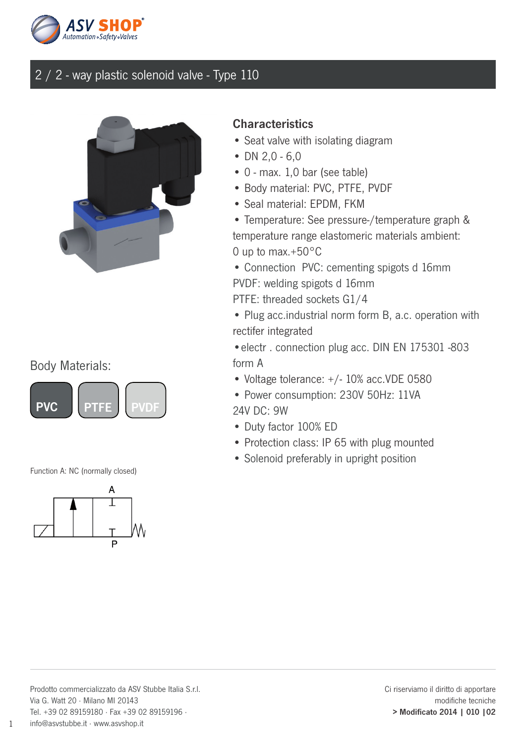



#### Body Materials:



Function A: NC (normally closed)



#### **Characteristics**

- Seat valve with isolating diagram
- DN  $2,0 6,0$
- 0 max. 1,0 bar (see table)
- Body material: PVC, PTFE, PVDF
- Seal material: EPDM, FKM

• Temperature: See pressure-/temperature graph & temperature range elastomeric materials ambient: 0 up to max.+50°C

• Connection PVC: cementing spigots d 16mm PVDF: welding spigots d 16mm

PTFE: threaded sockets G1/4

• Plug acc.industrial norm form B, a.c. operation with rectifer integrated

•electr . connection plug acc. DIN EN 175301 -803 form A

• Voltage tolerance: +/- 10% acc.VDE 0580

• Power consumption: 230V 50Hz: 11VA 24V DC: 9W

- Duty factor 100% ED
- Protection class: IP 65 with plug mounted
- Solenoid preferably in upright position

1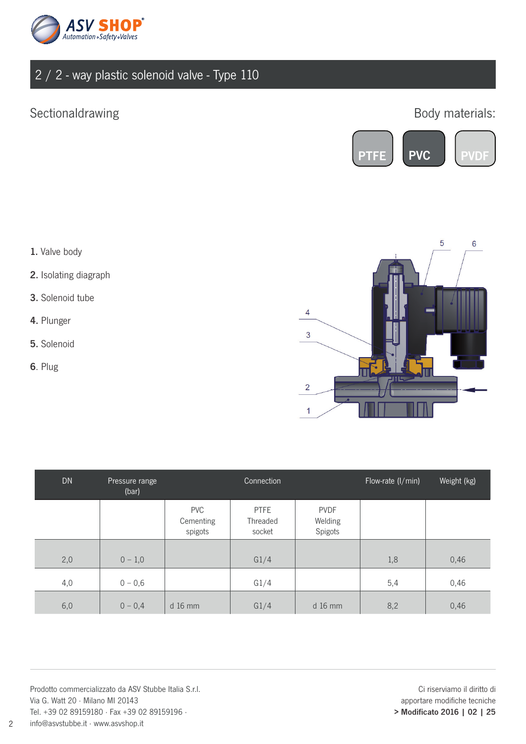

### Sectionaldrawing

### Body materials:



- 1. Valve body
- 2. Isolating diagraph
- 3. Solenoid tube
- 4. Plunger
- 5. Solenoid
- 6. Plug

2



| <b>DN</b> | Pressure range<br>(bar) |                                    | Connection                        |                                   | Flow-rate (I/min) | Weight (kg) |
|-----------|-------------------------|------------------------------------|-----------------------------------|-----------------------------------|-------------------|-------------|
|           |                         | <b>PVC</b><br>Cementing<br>spigots | <b>PTFE</b><br>Threaded<br>socket | <b>PVDF</b><br>Welding<br>Spigots |                   |             |
| 2,0       | $0 - 1,0$               |                                    | G1/4                              |                                   | 1,8               | 0,46        |
| 4,0       | $0 - 0,6$               |                                    | G1/4                              |                                   | 5,4               | 0,46        |
| 6,0       | $0 - 0,4$               | $d$ 16 mm                          | G1/4                              | $d$ 16 mm                         | 8,2               | 0,46        |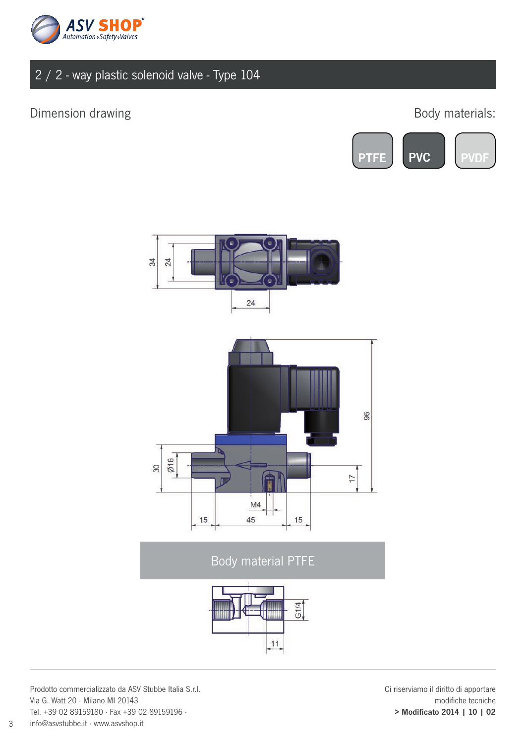

#### Dimension drawing

### Body materials:







### Body material PTFE



Prodotto commercializzato da ASV Stubbe Italia S.r.l. Via G. Watt 20 · Milano MI 20143 Tel. +39 02 89159180 · Fax +39 02 89159196 · info@asvstubbe.it · www.asvshop.it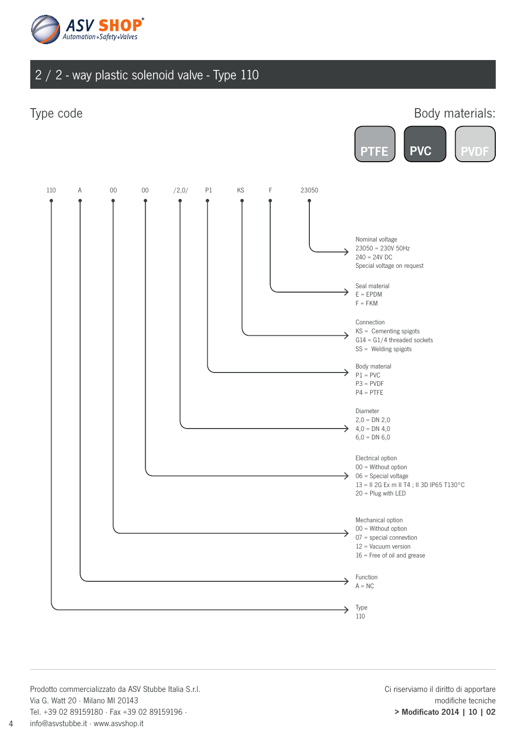

#### Type code



Prodotto commercializzato da ASV Stubbe Italia S.r.l. Via G. Watt 20 · Milano MI 20143 Tel. +39 02 89159180 · Fax +39 02 89159196 · info@asvstubbe.it · www.asvshop.it